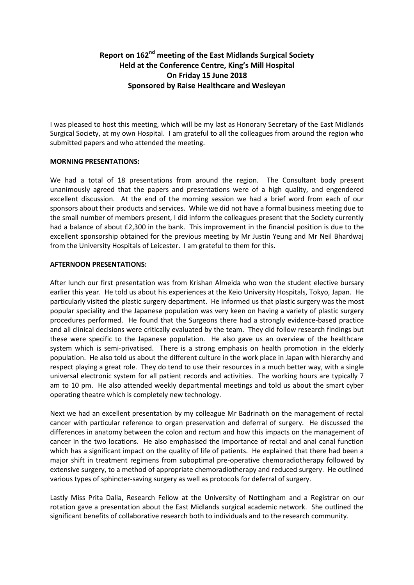## **Report on 162nd meeting of the East Midlands Surgical Society Held at the Conference Centre, King's Mill Hospital On Friday 15 June 2018 Sponsored by Raise Healthcare and Wesleyan**

I was pleased to host this meeting, which will be my last as Honorary Secretary of the East Midlands Surgical Society, at my own Hospital. I am grateful to all the colleagues from around the region who submitted papers and who attended the meeting.

## **MORNING PRESENTATIONS:**

We had a total of 18 presentations from around the region. The Consultant body present unanimously agreed that the papers and presentations were of a high quality, and engendered excellent discussion. At the end of the morning session we had a brief word from each of our sponsors about their products and services. While we did not have a formal business meeting due to the small number of members present, I did inform the colleagues present that the Society currently had a balance of about £2,300 in the bank. This improvement in the financial position is due to the excellent sponsorship obtained for the previous meeting by Mr Justin Yeung and Mr Neil Bhardwaj from the University Hospitals of Leicester. I am grateful to them for this.

## **AFTERNOON PRESENTATIONS:**

After lunch our first presentation was from Krishan Almeida who won the student elective bursary earlier this year. He told us about his experiences at the Keio University Hospitals, Tokyo, Japan. He particularly visited the plastic surgery department. He informed us that plastic surgery was the most popular speciality and the Japanese population was very keen on having a variety of plastic surgery procedures performed. He found that the Surgeons there had a strongly evidence-based practice and all clinical decisions were critically evaluated by the team. They did follow research findings but these were specific to the Japanese population. He also gave us an overview of the healthcare system which is semi-privatised. There is a strong emphasis on health promotion in the elderly population. He also told us about the different culture in the work place in Japan with hierarchy and respect playing a great role. They do tend to use their resources in a much better way, with a single universal electronic system for all patient records and activities. The working hours are typically 7 am to 10 pm. He also attended weekly departmental meetings and told us about the smart cyber operating theatre which is completely new technology.

Next we had an excellent presentation by my colleague Mr Badrinath on the management of rectal cancer with particular reference to organ preservation and deferral of surgery. He discussed the differences in anatomy between the colon and rectum and how this impacts on the management of cancer in the two locations. He also emphasised the importance of rectal and anal canal function which has a significant impact on the quality of life of patients. He explained that there had been a major shift in treatment regimens from suboptimal pre-operative chemoradiotherapy followed by extensive surgery, to a method of appropriate chemoradiotherapy and reduced surgery. He outlined various types of sphincter-saving surgery as well as protocols for deferral of surgery.

Lastly Miss Prita Dalia, Research Fellow at the University of Nottingham and a Registrar on our rotation gave a presentation about the East Midlands surgical academic network. She outlined the significant benefits of collaborative research both to individuals and to the research community.